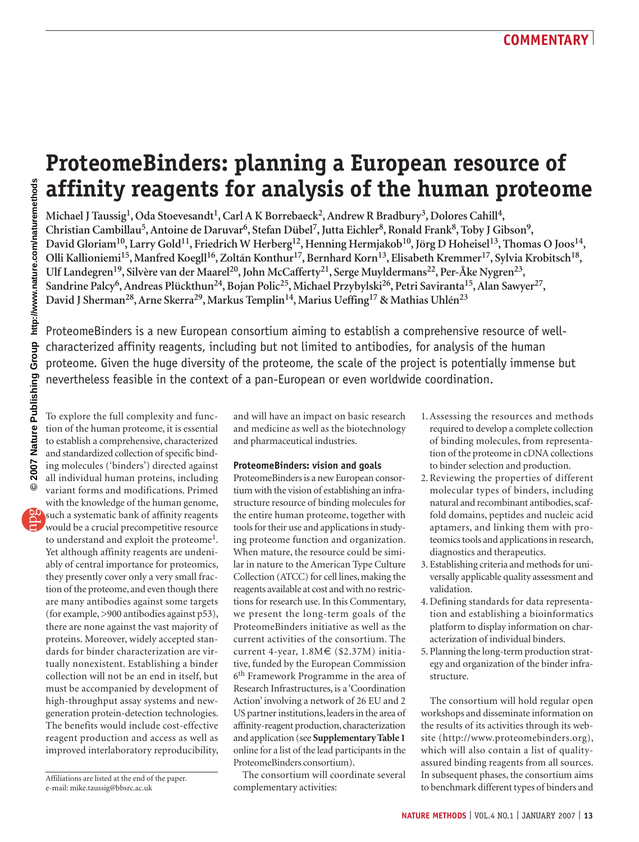# **ProteomeBinders: planning a European resource of affinity reagents for analysis of the human proteome**

Michael J Taussig<sup>1</sup>, Oda Stoevesandt<sup>1</sup>, Carl A K Borrebaeck<sup>2</sup>, Andrew R Bradbury<sup>3</sup>, Dolores Cahill<sup>4</sup>, Christian Cambillau<sup>5</sup>, Antoine de Daruvar<sup>6</sup>, Stefan Dübel<sup>7</sup>, Jutta Eichler<sup>8</sup>, Ronald Frank<sup>8</sup>, Toby J Gibson<sup>9</sup>, David Gloriam<sup>10</sup>, Larry Gold<sup>11</sup>, Friedrich W Herberg<sup>12</sup>, Henning Hermjakob<sup>10</sup>, Jörg D Hoheisel<sup>13</sup>, Thomas O Joos<sup>14</sup>, Olli Kallioniemi<sup>15</sup>, Manfred Koegll<sup>16</sup>, Zoltán Konthur<sup>17</sup>, Bernhard Korn<sup>13</sup>, Elisabeth Kremmer<sup>17</sup>, Sylvia Krobitsch<sup>18</sup>, Ulf Landegren<sup>19</sup>, Silvère van der Maarel<sup>20</sup>, John McCafferty<sup>21</sup>, Serge Muyldermans<sup>22</sup>, Per-Åke Nygren<sup>23</sup>, Sandrine Palcy<sup>6</sup>, Andreas Plückthun<sup>24</sup>, Bojan Polic<sup>25</sup>, Michael Przybylski<sup>26</sup>, Petri Saviranta<sup>15</sup>, Alan Sawyer<sup>27</sup>, **David J Sherman28, Arne Skerra29, Markus Templin14, Marius Ueffing17 & Mathias Uhlén23**

ProteomeBinders is a new European consortium aiming to establish a comprehensive resource of wellcharacterized affinity reagents, including but not limited to antibodies, for analysis of the human proteome. Given the huge diversity of the proteome, the scale of the project is potentially immense but nevertheless feasible in the context of a pan-European or even worldwide coordination.

To explore the full complexity and function of the human proteome, it is essential to establish a comprehensive, characterized and standardized collection of specific binding molecules ('binders') directed against all individual human proteins, including variant forms and modifications. Primed with the knowledge of the human genome, such a systematic bank of affinity reagents would be a crucial precompetitive resource to understand and exploit the proteome<sup>1</sup>. Yet although affinity reagents are undeniably of central importance for proteomics, they presently cover only a very small fraction of the proteome, and even though there are many antibodies against some targets (for example, >900 antibodies against p53), there are none against the vast majority of proteins. Moreover, widely accepted standards for binder characterization are virtually nonexistent. Establishing a binder collection will not be an end in itself, but must be accompanied by development of high-throughput assay systems and newgeneration protein-detection technologies. The benefits would include cost-effective reagent production and access as well as improved interlaboratory reproducibility,

and will have an impact on basic research and medicine as well as the biotechnology and pharmaceutical industries.

#### **ProteomeBinders: vision and goals**

ProteomeBinders is a new European consortium with the vision of establishing an infrastructure resource of binding molecules for the entire human proteome, together with tools for their use and applications in studying proteome function and organization. When mature, the resource could be similar in nature to the American Type Culture Collection (ATCC) for cell lines, making the reagents available at cost and with no restrictions for research use. In this Commentary, we present the long-term goals of the ProteomeBinders initiative as well as the current activities of the consortium. The current 4-year, 1.8M€ (\$2.37M) initiative, funded by the European Commission 6th Framework Programme in the area of Research Infrastructures, is a 'Coordination Action' involving a network of 26 EU and 2 US partner institutions, leaders in the area of affinity-reagent production, characterization and application (see **Supplementary Table 1**  online for a list of the lead participants in the ProteomeBinders consortium).

The consortium will coordinate several complementary activities:

- 1. Assessing the resources and methods required to develop a complete collection of binding molecules, from representation of the proteome in cDNA collections to binder selection and production.
- 2. Reviewing the properties of different molecular types of binders, including natural and recombinant antibodies, scaffold domains, peptides and nucleic acid aptamers, and linking them with proteomics tools and applications in research, diagnostics and therapeutics.
- 3. Establishing criteria and methods for universally applicable quality assessment and validation.
- 4. Defining standards for data representation and establishing a bioinformatics platform to display information on characterization of individual binders.
- 5. Planning the long-term production strategy and organization of the binder infrastructure.

The consortium will hold regular open workshops and disseminate information on the results of its activities through its website (http://www.proteomebinders.org), which will also contain a list of qualityassured binding reagents from all sources. In subsequent phases, the consortium aims to benchmark different types of binders and

Affiliations are listed at the end of the paper. e-mail: mike.taussig@bbsrc.ac.uk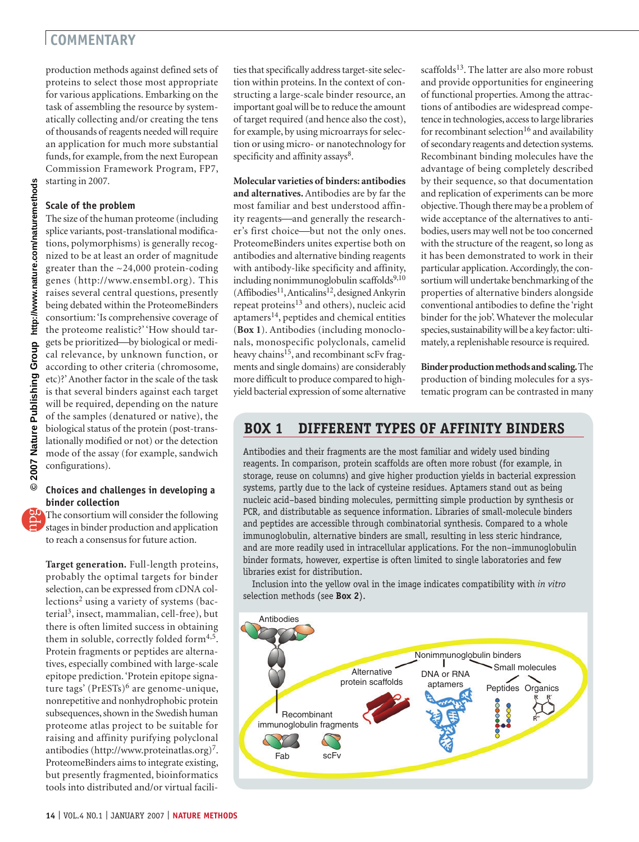### **COMMENTARY**

production methods against defined sets of proteins to select those most appropriate for various applications. Embarking on the task of assembling the resource by systematically collecting and/or creating the tens of thousands of reagents needed will require an application for much more substantial funds, for example, from the next European Commission Framework Program, FP7, starting in 2007.

#### **Scale of the problem**

The size of the human proteome (including splice variants, post-translational modifications, polymorphisms) is generally recognized to be at least an order of magnitude greater than the ~24,000 protein-coding genes (http://www.ensembl.org). This raises several central questions, presently being debated within the ProteomeBinders consortium: 'Is comprehensive coverage of the proteome realistic?' 'How should targets be prioritized—by biological or medical relevance, by unknown function, or according to other criteria (chromosome, etc)?' Another factor in the scale of the task is that several binders against each target will be required, depending on the nature of the samples (denatured or native), the biological status of the protein (post-translationally modified or not) or the detection mode of the assay (for example, sandwich configurations).

#### **Choices and challenges in developing a binder collection**

The consortium will consider the following stages in binder production and application to reach a consensus for future action.

**Target generation.** Full-length proteins, probably the optimal targets for binder selection, can be expressed from cDNA collections2 using a variety of systems (bacterial<sup>3</sup>, insect, mammalian, cell-free), but there is often limited success in obtaining them in soluble, correctly folded form $4.5$ . Protein fragments or peptides are alternatives, especially combined with large-scale epitope prediction. 'Protein epitope signature tags' (PrESTs)<sup>6</sup> are genome-unique, nonrepetitive and nonhydrophobic protein subsequences, shown in the Swedish human proteome atlas project to be suitable for raising and affinity purifying polyclonal antibodies (http://www.proteinatlas.org)<sup>7</sup>. ProteomeBinders aims to integrate existing, but presently fragmented, bioinformatics tools into distributed and/or virtual facilities that specifically address target-site selection within proteins. In the context of constructing a large-scale binder resource, an important goal will be to reduce the amount of target required (and hence also the cost), for example, by using microarrays for selection or using micro- or nanotechnology for specificity and affinity assays<sup>8</sup>.

### **Molecular varieties of binders: antibodies**

**and alternatives.** Antibodies are by far the most familiar and best understood affinity reagents—and generally the researcher's first choice-but not the only ones. ProteomeBinders unites expertise both on antibodies and alternative binding reagents with antibody-like specificity and affinity, including nonimmunoglobulin scaffolds<sup>9,10</sup>  $(Affibodies<sup>11</sup>, Anticalins<sup>12</sup>, designed Ankyrin$ repeat proteins<sup>13</sup> and others), nucleic acid aptamers<sup>14</sup>, peptides and chemical entities (**Box 1**). Antibodies (including monoclonals, monospecific polyclonals, camelid heavy chains<sup>15</sup>, and recombinant scFv fragments and single domains) are considerably more difficult to produce compared to highyield bacterial expression of some alternative

scaffolds<sup>13</sup>. The latter are also more robust and provide opportunities for engineering of functional properties. Among the attractions of antibodies are widespread competence in technologies, access to large libraries for recombinant selection<sup>16</sup> and availability of secondary reagents and detection systems. Recombinant binding molecules have the advantage of being completely described by their sequence, so that documentation and replication of experiments can be more objective. Though there may be a problem of wide acceptance of the alternatives to antibodies, users may well not be too concerned with the structure of the reagent, so long as it has been demonstrated to work in their particular application. Accordingly, the consortium will undertake benchmarking of the properties of alternative binders alongside conventional antibodies to define the 'right binder for the job'. Whatever the molecular species, sustainability will be a key factor: ultimately, a replenishable resource is required.

**Binder production methods and scaling.** The production of binding molecules for a systematic program can be contrasted in many

### **BOX 1 DIFFERENT TYPES OF AFFINITY BINDERS**

Antibodies and their fragments are the most familiar and widely used binding reagents. In comparison, protein scaffolds are often more robust (for example, in storage, reuse on columns) and give higher production yields in bacterial expression systems, partly due to the lack of cysteine residues. Aptamers stand out as being nucleic acid–based binding molecules, permitting simple production by synthesis or PCR, and distributable as sequence information. Libraries of small-molecule binders and peptides are accessible through combinatorial synthesis. Compared to a whole immunoglobulin, alternative binders are small, resulting in less steric hindrance, and are more readily used in intracellular applications. For the non–immunoglobulin binder formats, however, expertise is often limited to single laboratories and few libraries exist for distribution.

Inclusion into the yellow oval in the image indicates compatibility with *in vitro* selection methods (see **Box 2**).

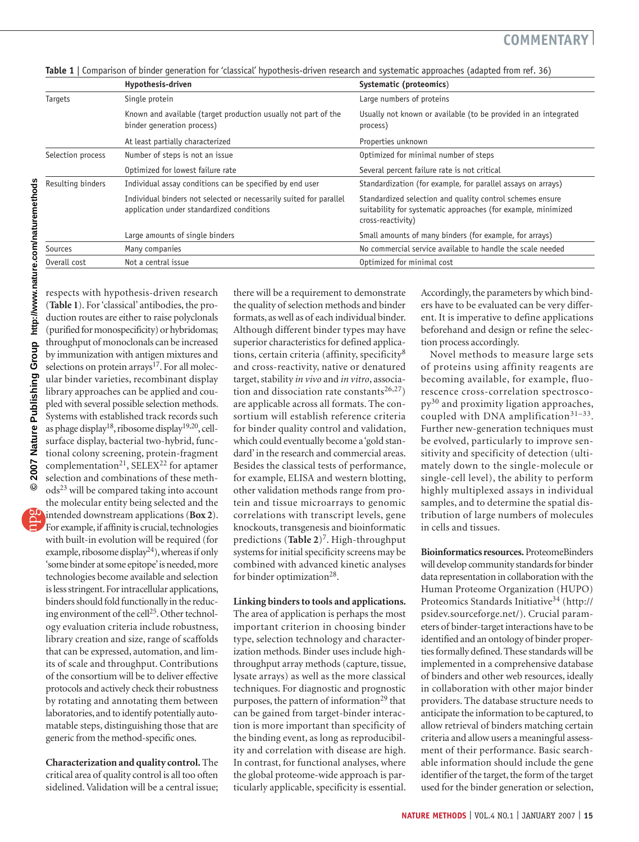|  |  |  |  | <b>Table 1</b>   Comparison of binder generation for 'classical' hypothesis-driven research and systematic approaches (adapted from ref. 36) |  |
|--|--|--|--|----------------------------------------------------------------------------------------------------------------------------------------------|--|
|--|--|--|--|----------------------------------------------------------------------------------------------------------------------------------------------|--|

|                   | Hypothesis-driven                                                                                               | Systematic (proteomics)                                                                                                                         |
|-------------------|-----------------------------------------------------------------------------------------------------------------|-------------------------------------------------------------------------------------------------------------------------------------------------|
| <b>Targets</b>    | Single protein                                                                                                  | Large numbers of proteins                                                                                                                       |
|                   | Known and available (target production usually not part of the<br>binder generation process)                    | Usually not known or available (to be provided in an integrated<br>process)                                                                     |
|                   | At least partially characterized                                                                                | Properties unknown                                                                                                                              |
| Selection process | Number of steps is not an issue                                                                                 | Optimized for minimal number of steps                                                                                                           |
|                   | Optimized for lowest failure rate                                                                               | Several percent failure rate is not critical                                                                                                    |
| Resulting binders | Individual assay conditions can be specified by end user                                                        | Standardization (for example, for parallel assays on arrays)                                                                                    |
|                   | Individual binders not selected or necessarily suited for parallel<br>application under standardized conditions | Standardized selection and quality control schemes ensure<br>suitability for systematic approaches (for example, minimized<br>cross-reactivity) |
|                   | Large amounts of single binders                                                                                 | Small amounts of many binders (for example, for arrays)                                                                                         |
| Sources           | Many companies                                                                                                  | No commercial service available to handle the scale needed                                                                                      |
| Overall cost      | Not a central issue                                                                                             | Optimized for minimal cost                                                                                                                      |

respects with hypothesis-driven research (**Table 1**). For 'classical' antibodies, the production routes are either to raise polyclonals (purified for monospecificity) or hybridomas; throughput of monoclonals can be increased by immunization with antigen mixtures and selections on protein arrays<sup>17</sup>. For all molecular binder varieties, recombinant display library approaches can be applied and coupled with several possible selection methods. Systems with established track records such as phage display18, ribosome display19,20, cellsurface display, bacterial two-hybrid, functional colony screening, protein-fragment complementation<sup>21</sup>, SELEX<sup>22</sup> for aptamer selection and combinations of these methods<sup>23</sup> will be compared taking into account the molecular entity being selected and the intended downstream applications (**Box 2**). For example, if affinity is crucial, technologies with built-in evolution will be required (for example, ribosome display<sup>24</sup>), whereas if only 'some binder at some epitope' is needed, more technologies become available and selection is less stringent. For intracellular applications, binders should fold functionally in the reducing environment of the cell25. Other technol-

ogy evaluation criteria include robustness, library creation and size, range of scaffolds that can be expressed, automation, and limits of scale and throughput. Contributions of the consortium will be to deliver effective protocols and actively check their robustness by rotating and annotating them between laboratories, and to identify potentially automatable steps, distinguishing those that are generic from the method-specific ones.

**Characterization and quality control.** The critical area of quality control is all too often sidelined. Validation will be a central issue;

there will be a requirement to demonstrate the quality of selection methods and binder formats, as well as of each individual binder. Although different binder types may have superior characteristics for defined applications, certain criteria (affinity, specificity<sup>8</sup> and cross-reactivity, native or denatured target, stability *in vivo* and *in vitro*, association and dissociation rate constants<sup>26,27</sup>) are applicable across all formats. The consortium will establish reference criteria for binder quality control and validation, which could eventually become a 'gold standard' in the research and commercial areas. Besides the classical tests of performance, for example, ELISA and western blotting, other validation methods range from protein and tissue microarrays to genomic correlations with transcript levels, gene knockouts, transgenesis and bioinformatic predictions (**Table 2**)7. High-throughput systems for initial specificity screens may be combined with advanced kinetic analyses for binder optimization<sup>28</sup>.

#### **Linking binders to tools and applications.**

The area of application is perhaps the most important criterion in choosing binder type, selection technology and characterization methods. Binder uses include highthroughput array methods (capture, tissue, lysate arrays) as well as the more classical techniques. For diagnostic and prognostic purposes, the pattern of information $^{29}$  that can be gained from target-binder interaction is more important than specificity of the binding event, as long as reproducibility and correlation with disease are high. In contrast, for functional analyses, where the global proteome-wide approach is particularly applicable, specificity is essential. Accordingly, the parameters by which binders have to be evaluated can be very different. It is imperative to define applications beforehand and design or refine the selection process accordingly.

Novel methods to measure large sets of proteins using affinity reagents are becoming available, for example, fluorescence cross-correlation spectroscopy30 and proximity ligation approaches, coupled with DNA amplification $31-33$ . Further new-generation techniques must be evolved, particularly to improve sensitivity and specificity of detection (ultimately down to the single-molecule or single-cell level), the ability to perform highly multiplexed assays in individual samples, and to determine the spatial distribution of large numbers of molecules in cells and tissues.

**Bioinformatics resources.** ProteomeBinders will develop community standards for binder data representation in collaboration with the Human Proteome Organization (HUPO) Proteomics Standards Initiative<sup>34</sup> (http:// psidev.sourceforge.net/). Crucial parameters of binder-target interactions have to be identified and an ontology of binder properties formally defined. These standards will be implemented in a comprehensive database of binders and other web resources, ideally in collaboration with other major binder providers. The database structure needs to anticipate the information to be captured, to allow retrieval of binders matching certain criteria and allow users a meaningful assessment of their performance. Basic searchable information should include the gene identifier of the target, the form of the target used for the binder generation or selection,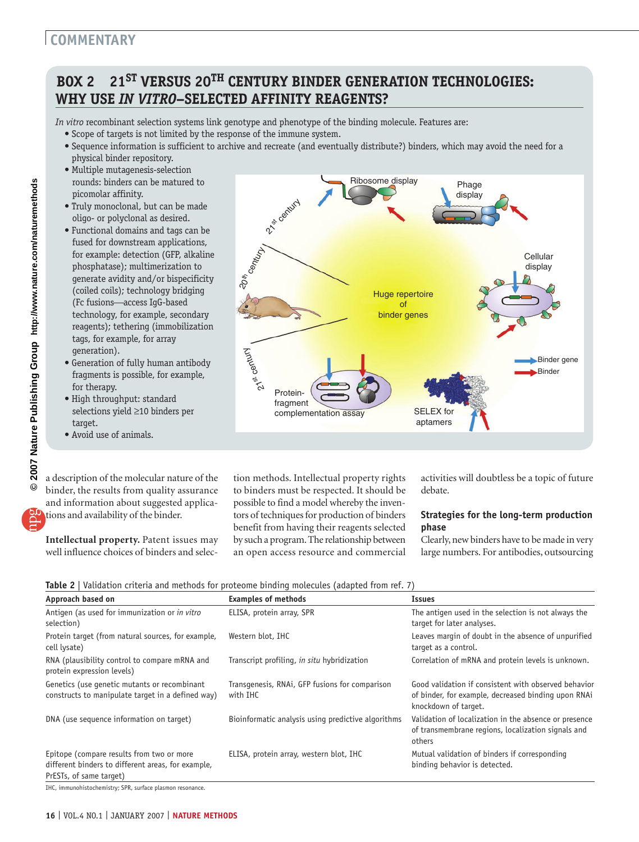## **COMMENTARY**

# **BOX 2 21ST VERSUS 20TH CENTURY BINDER GENERATION TECHNOLOGIES: WHY USE** *IN VITRO***–SELECTED AFFINITY REAGENTS?**

*In vitro* recombinant selection systems link genotype and phenotype of the binding molecule. Features are:

21st century

20th century

Punyao

- Scope of targets is not limited by the response of the immune system.
- Sequence information is sufficient to archive and recreate (and eventually distribute?) binders, which may avoid the need for a physical binder repository.

Ribosome display Phage

Huge repertoire of binder genes

> SELEX for aptamers

display

- Multiple mutagenesis-selection rounds: binders can be matured to picomolar affinity.
- Truly monoclonal, but can be made oligo- or polyclonal as desired.
- Functional domains and tags can be fused for downstream applications, for example: detection (GFP, alkaline phosphatase); multimerization to generate avidity and/or bispecificity (coiled coils); technology bridging (Fc fusions-access IgG-based technology, for example, secondary reagents); tethering (immobilization tags, for example, for array generation).
- Generation of fully human antibody fragments is possible, for example, for therapy.
- High throughput: standard selections yield ≥10 binders per target.
- Avoid use of animals.

a description of the molecular nature of the binder, the results from quality assurance and information about suggested applications and availability of the binder.

**Intellectual property.** Patent issues may well influence choices of binders and selection methods. Intellectual property rights to binders must be respected. It should be possible to find a model whereby the inventors of techniques for production of binders benefit from having their reagents selected by such a program. The relationship between an open access resource and commercial

complementation assay

Proteinfragment

> activities will doubtless be a topic of future debate.

Cellular display

> Binder gene **Binder**

#### **Strategies for the long-term production phase**

Clearly, new binders have to be made in very large numbers. For antibodies, outsourcing

|  |  | Table 2   Validation criteria and methods for proteome binding molecules (adapted from ref. 7) |  |  |
|--|--|------------------------------------------------------------------------------------------------|--|--|
|  |  |                                                                                                |  |  |

| Approach based on                                                                                                          | <b>Examples of methods</b>                                 | Issues                                                                                                                              |
|----------------------------------------------------------------------------------------------------------------------------|------------------------------------------------------------|-------------------------------------------------------------------------------------------------------------------------------------|
| Antigen (as used for immunization or in vitro<br>selection)                                                                | ELISA, protein array, SPR                                  | The antigen used in the selection is not always the<br>target for later analyses.                                                   |
| Protein target (from natural sources, for example,<br>cell lysate)                                                         | Western blot, IHC                                          | Leaves margin of doubt in the absence of unpurified<br>target as a control.                                                         |
| RNA (plausibility control to compare mRNA and<br>protein expression levels)                                                | Transcript profiling, in situ hybridization                | Correlation of mRNA and protein levels is unknown.                                                                                  |
| Genetics (use genetic mutants or recombinant<br>constructs to manipulate target in a defined way)                          | Transgenesis, RNAi, GFP fusions for comparison<br>with IHC | Good validation if consistent with observed behavior<br>of binder, for example, decreased binding upon RNAi<br>knockdown of target. |
| DNA (use sequence information on target)                                                                                   | Bioinformatic analysis using predictive algorithms         | Validation of localization in the absence or presence<br>of transmembrane regions, localization signals and<br>others               |
| Epitope (compare results from two or more<br>different binders to different areas, for example,<br>PrESTs, of same target) | ELISA, protein array, western blot, IHC                    | Mutual validation of binders if corresponding<br>binding behavior is detected.                                                      |

IHC, immunohistochemistry; SPR, surface plasmon resonance.